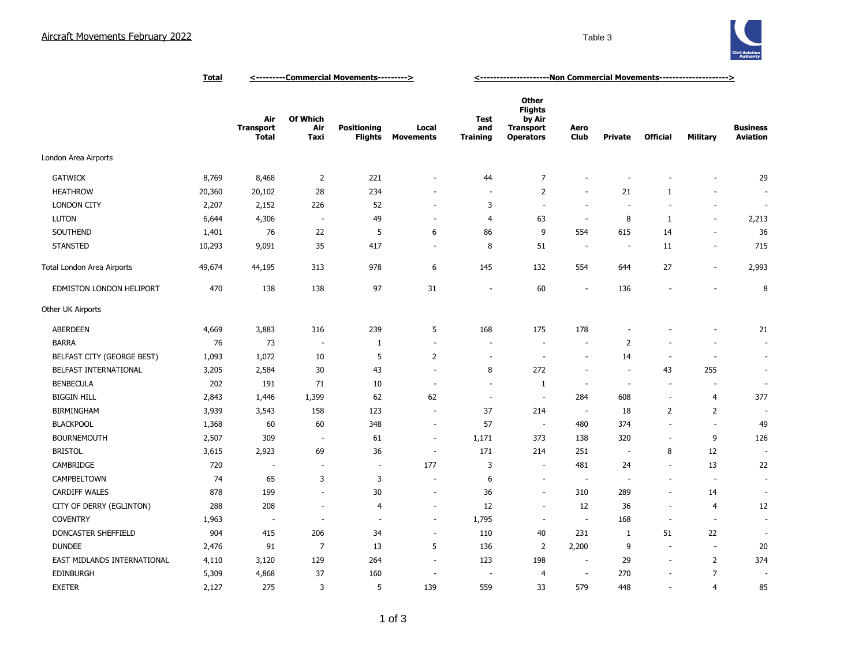

|                             | <b>Total</b> | <----------Commercial Movements---------> |                          |                                      |                           | <-----------------------Non Commercial Movements----------------------> |                                                                                  |                          |                          |                          |                          |                                    |
|-----------------------------|--------------|-------------------------------------------|--------------------------|--------------------------------------|---------------------------|-------------------------------------------------------------------------|----------------------------------------------------------------------------------|--------------------------|--------------------------|--------------------------|--------------------------|------------------------------------|
|                             |              | Air<br><b>Transport</b><br><b>Total</b>   | Of Which<br>Air<br>Taxi  | <b>Positioning</b><br><b>Flights</b> | Local<br><b>Movements</b> | <b>Test</b><br>and<br><b>Training</b>                                   | <b>Other</b><br><b>Flights</b><br>by Air<br><b>Transport</b><br><b>Operators</b> | Aero<br>Club             | <b>Private</b>           | <b>Official</b>          | Military                 | <b>Business</b><br><b>Aviation</b> |
| London Area Airports        |              |                                           |                          |                                      |                           |                                                                         |                                                                                  |                          |                          |                          |                          |                                    |
| <b>GATWICK</b>              | 8,769        | 8,468                                     | $\overline{2}$           | 221                                  | $\overline{\phantom{a}}$  | 44                                                                      | $\overline{7}$                                                                   | $\overline{\phantom{a}}$ |                          |                          |                          | 29                                 |
| <b>HEATHROW</b>             | 20,360       | 20,102                                    | 28                       | 234                                  |                           | $\sim$                                                                  | $\overline{2}$                                                                   | $\sim$                   | 21                       | 1                        | $\overline{\phantom{a}}$ |                                    |
| <b>LONDON CITY</b>          | 2,207        | 2,152                                     | 226                      | 52                                   | $\overline{\phantom{a}}$  | 3                                                                       | $\sim$                                                                           | $\sim$                   | $\sim$                   | $\blacksquare$           | $\blacksquare$           | $\sim$                             |
| LUTON                       | 6,644        | 4,306                                     | $\sim$                   | 49                                   | $\sim$                    | $\overline{4}$                                                          | 63                                                                               | $\sim$                   | 8                        | 1                        | $\sim$                   | 2,213                              |
| SOUTHEND                    | 1,401        | 76                                        | 22                       | 5                                    | 6                         | 86                                                                      | 9                                                                                | 554                      | 615                      | 14                       | $\overline{\phantom{a}}$ | 36                                 |
| <b>STANSTED</b>             | 10,293       | 9,091                                     | 35                       | 417                                  | $\overline{\phantom{a}}$  | 8                                                                       | 51                                                                               | $\overline{\phantom{a}}$ | $\overline{\phantom{a}}$ | 11                       | $\overline{\phantom{a}}$ | 715                                |
| Total London Area Airports  | 49,674       | 44,195                                    | 313                      | 978                                  | 6                         | 145                                                                     | 132                                                                              | 554                      | 644                      | 27                       | $\sim$                   | 2,993                              |
| EDMISTON LONDON HELIPORT    | 470          | 138                                       | 138                      | 97                                   | 31                        | $\sim$                                                                  | 60                                                                               | $\overline{\phantom{a}}$ | 136                      | $\overline{\phantom{a}}$ | $\overline{a}$           | 8                                  |
| Other UK Airports           |              |                                           |                          |                                      |                           |                                                                         |                                                                                  |                          |                          |                          |                          |                                    |
| <b>ABERDEEN</b>             | 4,669        | 3,883                                     | 316                      | 239                                  | 5                         | 168                                                                     | 175                                                                              | 178                      |                          |                          |                          | 21                                 |
| <b>BARRA</b>                | 76           | 73                                        | $\overline{\phantom{a}}$ | 1                                    | $\sim$                    |                                                                         | $\sim$                                                                           | $\sim$                   | 2                        |                          | ÷                        | $\overline{a}$                     |
| BELFAST CITY (GEORGE BEST)  | 1,093        | 1,072                                     | 10                       | 5                                    | 2                         | ÷.                                                                      | $\overline{\phantom{a}}$                                                         | $\sim$                   | 14                       | $\overline{\phantom{a}}$ | $\overline{\phantom{a}}$ | $\sim$                             |
| BELFAST INTERNATIONAL       | 3,205        | 2,584                                     | 30                       | 43                                   | $\overline{\phantom{a}}$  | 8                                                                       | 272                                                                              | $\sim$                   | ÷,                       | 43                       | 255                      | ÷,                                 |
| <b>BENBECULA</b>            | 202          | 191                                       | 71                       | 10                                   | $\overline{\phantom{a}}$  | ÷,                                                                      | $\mathbf{1}$                                                                     | $\overline{\phantom{a}}$ | $\overline{\phantom{a}}$ | $\blacksquare$           | $\overline{\phantom{a}}$ | ÷,                                 |
| <b>BIGGIN HILL</b>          | 2,843        | 1,446                                     | 1,399                    | 62                                   | 62                        | $\overline{\phantom{a}}$                                                | $\overline{\phantom{a}}$                                                         | 284                      | 608                      | $\blacksquare$           | $\overline{4}$           | 377                                |
| <b>BIRMINGHAM</b>           | 3,939        | 3,543                                     | 158                      | 123                                  | $\sim$                    | 37                                                                      | 214                                                                              | $\sim$                   | 18                       | 2                        | 2                        |                                    |
| <b>BLACKPOOL</b>            | 1,368        | 60                                        | 60                       | 348                                  | $\overline{\phantom{a}}$  | 57                                                                      | $\sim$                                                                           | 480                      | 374                      | ٠                        | ä,                       | 49                                 |
| <b>BOURNEMOUTH</b>          | 2,507        | 309                                       | ÷.                       | 61                                   | $\sim$                    | 1,171                                                                   | 373                                                                              | 138                      | 320                      | $\blacksquare$           | 9                        | 126                                |
| <b>BRISTOL</b>              | 3,615        | 2,923                                     | 69                       | 36                                   | ÷.                        | 171                                                                     | 214                                                                              | 251                      | ÷.                       | 8                        | 12                       | $\overline{a}$                     |
| CAMBRIDGE                   | 720          | ٠.                                        | $\sim$                   | $\sim$                               | 177                       | 3                                                                       | $\sim$                                                                           | 481                      | 24                       | $\sim$                   | 13                       | 22                                 |
| CAMPBELTOWN                 | 74           | 65                                        | 3                        | 3                                    | ÷,                        | 6                                                                       | $\sim$                                                                           | $\blacksquare$           | $\overline{\phantom{a}}$ | ÷.                       | ÷.                       | ÷.                                 |
| <b>CARDIFF WALES</b>        | 878          | 199                                       | $\overline{a}$           | 30                                   | $\overline{\phantom{a}}$  | 36                                                                      | $\sim$                                                                           | 310                      | 289                      | $\sim$                   | 14                       |                                    |
| CITY OF DERRY (EGLINTON)    | 288          | 208                                       | $\sim$                   | 4                                    | $\overline{\phantom{a}}$  | 12                                                                      | $\sim$                                                                           | 12                       | 36                       | $\bar{a}$                | $\overline{4}$           | 12                                 |
| <b>COVENTRY</b>             | 1,963        | $\overline{\phantom{a}}$                  | $\sim$                   | $\overline{\phantom{a}}$             | $\sim$                    | 1,795                                                                   | $\sim$                                                                           | $\overline{\phantom{a}}$ | 168                      | $\sim$                   | $\overline{\phantom{a}}$ | $\sim$                             |
| DONCASTER SHEFFIELD         | 904          | 415                                       | 206                      | 34                                   | $\sim$                    | 110                                                                     | 40                                                                               | 231                      | 1                        | 51                       | 22                       | ÷,                                 |
| <b>DUNDEE</b>               | 2,476        | 91                                        | $\overline{7}$           | 13                                   | 5                         | 136                                                                     | 2                                                                                | 2,200                    | 9                        | $\overline{\phantom{a}}$ | $\sim$                   | 20                                 |
| EAST MIDLANDS INTERNATIONAL | 4,110        | 3,120                                     | 129                      | 264                                  | $\sim$                    | 123                                                                     | 198                                                                              | $\sim$                   | 29                       | $\overline{\phantom{a}}$ | $\overline{2}$           | 374                                |
| EDINBURGH                   | 5,309        | 4,868                                     | 37                       | 160                                  | $\sim$                    | $\overline{\phantom{a}}$                                                | 4                                                                                | $\overline{\phantom{a}}$ | 270                      | ÷,                       | $\overline{7}$           | ÷,                                 |
| <b>EXETER</b>               | 2,127        | 275                                       | 3                        | 5                                    | 139                       | 559                                                                     | 33                                                                               | 579                      | 448                      | ٠                        | $\overline{4}$           | 85                                 |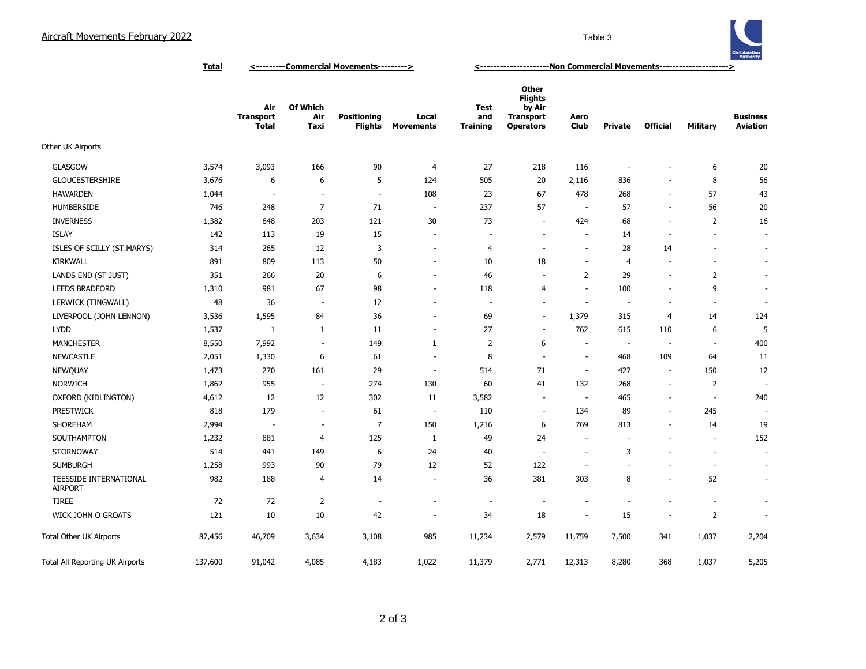

**Total <---------Commercial Movements---------> <---------------------Non Commercial Movements--------------------->**

|                                          |         | Air<br><b>Transport</b><br><b>Total</b> | Of Which<br>Air<br>Taxi  | <b>Positioning</b><br><b>Flights</b> | Local<br><b>Movements</b> | Test<br>and<br><b>Training</b> | Other<br><b>Flights</b><br>by Air<br><b>Transport</b><br><b>Operators</b> | Aero<br>Club             | Private                  | <b>Official</b>          | <b>Military</b>          | <b>Business</b><br><b>Aviation</b> |
|------------------------------------------|---------|-----------------------------------------|--------------------------|--------------------------------------|---------------------------|--------------------------------|---------------------------------------------------------------------------|--------------------------|--------------------------|--------------------------|--------------------------|------------------------------------|
| Other UK Airports                        |         |                                         |                          |                                      |                           |                                |                                                                           |                          |                          |                          |                          |                                    |
| <b>GLASGOW</b>                           | 3,574   | 3,093                                   | 166                      | 90                                   | $\overline{4}$            | 27                             | 218                                                                       | 116                      | $\overline{\phantom{a}}$ | $\overline{a}$           | 6                        | 20                                 |
| <b>GLOUCESTERSHIRE</b>                   | 3,676   | 6                                       | 6                        | 5                                    | 124                       | 505                            | 20                                                                        | 2,116                    | 836                      | $\overline{\phantom{a}}$ | 8                        | 56                                 |
| <b>HAWARDEN</b>                          | 1,044   | $\overline{\phantom{a}}$                | ٠                        | $\overline{\phantom{a}}$             | 108                       | 23                             | 67                                                                        | 478                      | 268                      | $\overline{\phantom{a}}$ | 57                       | 43                                 |
| <b>HUMBERSIDE</b>                        | 746     | 248                                     | $\overline{7}$           | 71                                   | $\sim$                    | 237                            | 57                                                                        |                          | 57                       | $\overline{\phantom{a}}$ | 56                       | 20                                 |
| <b>INVERNESS</b>                         | 1,382   | 648                                     | 203                      | 121                                  | 30                        | 73                             | $\sim$                                                                    | 424                      | 68                       | $\sim$                   | 2                        | 16                                 |
| <b>ISLAY</b>                             | 142     | 113                                     | 19                       | 15                                   | $\overline{\phantom{a}}$  | ÷,                             | $\overline{\phantom{a}}$                                                  | $\sim$                   | 14                       | $\overline{\phantom{a}}$ | $\overline{\phantom{a}}$ | $\sim$                             |
| ISLES OF SCILLY (ST.MARYS)               | 314     | 265                                     | 12                       | 3                                    | $\overline{\phantom{a}}$  | $\overline{4}$                 | $\overline{\phantom{a}}$                                                  | $\sim$                   | 28                       | 14                       | $\overline{\phantom{a}}$ | $\sim$                             |
| <b>KIRKWALL</b>                          | 891     | 809                                     | 113                      | 50                                   | $\overline{\phantom{a}}$  | 10                             | 18                                                                        | $\overline{\phantom{a}}$ | $\overline{4}$           | $\overline{\phantom{a}}$ |                          | $\overline{\phantom{a}}$           |
| LANDS END (ST JUST)                      | 351     | 266                                     | 20                       | 6                                    | $\overline{\phantom{a}}$  | 46                             | $\overline{\phantom{a}}$                                                  | $\overline{2}$           | 29                       | $\overline{\phantom{a}}$ | $\overline{2}$           | $\sim$                             |
| <b>LEEDS BRADFORD</b>                    | 1,310   | 981                                     | 67                       | 98                                   | $\overline{\phantom{a}}$  | 118                            | $\overline{4}$                                                            | $\overline{\phantom{a}}$ | 100                      | $\overline{\phantom{a}}$ | 9                        | $\overline{\phantom{a}}$           |
| LERWICK (TINGWALL)                       | 48      | 36                                      | $\overline{\phantom{a}}$ | 12                                   | $\overline{\phantom{a}}$  | $\overline{\phantom{a}}$       | $\overline{\phantom{a}}$                                                  |                          | $\overline{\phantom{a}}$ | $\overline{\phantom{a}}$ | $\overline{\phantom{a}}$ | $\overline{\phantom{a}}$           |
| LIVERPOOL (JOHN LENNON)                  | 3,536   | 1,595                                   | 84                       | 36                                   | $\sim$                    | 69                             | ÷.                                                                        | 1,379                    | 315                      | $\overline{4}$           | 14                       | 124                                |
| <b>LYDD</b>                              | 1,537   | 1                                       | $\mathbf{1}$             | 11                                   | $\overline{\phantom{a}}$  | 27                             | ÷,                                                                        | 762                      | 615                      | 110                      | 6                        | 5                                  |
| <b>MANCHESTER</b>                        | 8,550   | 7,992                                   | ÷,                       | 149                                  | $\mathbf{1}$              | 2                              | 6                                                                         |                          | $\overline{\phantom{a}}$ | ÷.                       | $\overline{\phantom{a}}$ | 400                                |
| <b>NEWCASTLE</b>                         | 2,051   | 1,330                                   | 6                        | 61                                   | $\overline{\phantom{a}}$  | 8                              | $\overline{\phantom{a}}$                                                  | $\overline{\phantom{a}}$ | 468                      | 109                      | 64                       | 11                                 |
| NEWQUAY                                  | 1,473   | 270                                     | 161                      | 29                                   | $\overline{\phantom{a}}$  | 514                            | 71                                                                        | $\sim$                   | 427                      | $\sim$                   | 150                      | 12                                 |
| <b>NORWICH</b>                           | 1,862   | 955                                     | $\overline{\phantom{a}}$ | 274                                  | 130                       | 60                             | 41                                                                        | 132                      | 268                      | $\overline{\phantom{a}}$ | 2                        | $\overline{\phantom{a}}$           |
| OXFORD (KIDLINGTON)                      | 4,612   | 12                                      | 12                       | 302                                  | 11                        | 3,582                          | $\overline{\phantom{a}}$                                                  | $\overline{\phantom{a}}$ | 465                      | $\overline{\phantom{a}}$ | $\sim$                   | 240                                |
| <b>PRESTWICK</b>                         | 818     | 179                                     | $\overline{\phantom{a}}$ | 61                                   | $\overline{\phantom{a}}$  | 110                            | $\overline{\phantom{a}}$                                                  | 134                      | 89                       | $\blacksquare$           | 245                      | $\sim$                             |
| SHOREHAM                                 | 2,994   | $\overline{\phantom{a}}$                | $\overline{\phantom{a}}$ | 7                                    | 150                       | 1,216                          | 6                                                                         | 769                      | 813                      | $\overline{\phantom{a}}$ | 14                       | 19                                 |
| SOUTHAMPTON                              | 1,232   | 881                                     | $\overline{4}$           | 125                                  | 1                         | 49                             | 24                                                                        | $\overline{\phantom{a}}$ | ٠                        |                          | $\overline{\phantom{a}}$ | 152                                |
| <b>STORNOWAY</b>                         | 514     | 441                                     | 149                      | 6                                    | 24                        | 40                             | $\overline{\phantom{a}}$                                                  | $\overline{\phantom{a}}$ | 3                        |                          |                          | $\sim$                             |
| <b>SUMBURGH</b>                          | 1,258   | 993                                     | 90                       | 79                                   | 12                        | 52                             | 122                                                                       |                          |                          |                          | ÷.                       | $\sim$                             |
| TEESSIDE INTERNATIONAL<br><b>AIRPORT</b> | 982     | 188                                     | $\overline{4}$           | 14                                   | $\overline{\phantom{a}}$  | 36                             | 381                                                                       | 303                      | 8                        | $\overline{\phantom{a}}$ | 52                       | $\sim$                             |
| <b>TIREE</b>                             | 72      | 72                                      | $\overline{2}$           | $\overline{\phantom{a}}$             | $\overline{\phantom{a}}$  | $\overline{a}$                 | $\overline{\phantom{a}}$                                                  |                          | ÷,                       | $\overline{\phantom{a}}$ | $\blacksquare$           | $\sim$                             |
| WICK JOHN O GROATS                       | 121     | 10                                      | 10                       | 42                                   | $\sim$                    | 34                             | 18                                                                        | $\overline{\phantom{a}}$ | 15                       | $\overline{\phantom{a}}$ | $\overline{2}$           |                                    |
| Total Other UK Airports                  | 87,456  | 46,709                                  | 3,634                    | 3,108                                | 985                       | 11,234                         | 2,579                                                                     | 11,759                   | 7,500                    | 341                      | 1,037                    | 2,204                              |
| Total All Reporting UK Airports          | 137,600 | 91,042                                  | 4,085                    | 4,183                                | 1,022                     | 11,379                         | 2,771                                                                     | 12,313                   | 8,280                    | 368                      | 1,037                    | 5,205                              |